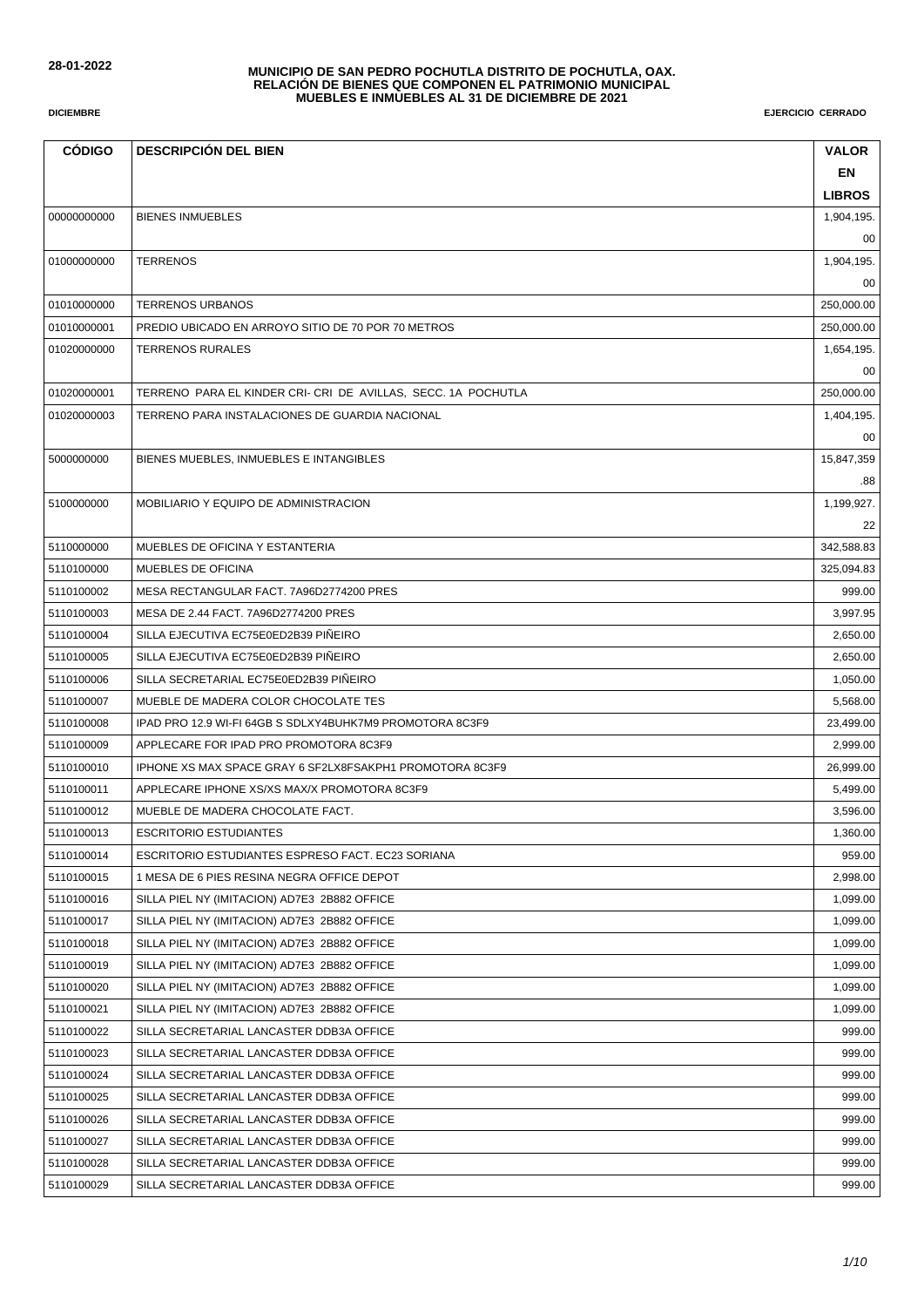| <b>CÓDIGO</b> | <b>DESCRIPCIÓN DEL BIEN</b>                                   | <b>VALOR</b>  |
|---------------|---------------------------------------------------------------|---------------|
|               |                                                               | EN            |
|               |                                                               | <b>LIBROS</b> |
| 00000000000   | <b>BIENES INMUEBLES</b>                                       | 1,904,195.    |
|               |                                                               | 00            |
| 01000000000   | <b>TERRENOS</b>                                               | 1,904,195.    |
|               |                                                               | 00            |
| 01010000000   | <b>TERRENOS URBANOS</b>                                       | 250,000.00    |
| 01010000001   | PREDIO UBICADO EN ARROYO SITIO DE 70 POR 70 METROS            | 250,000.00    |
| 01020000000   | <b>TERRENOS RURALES</b>                                       | 1,654,195.    |
|               |                                                               | 00            |
| 01020000001   | TERRENO PARA EL KINDER CRI- CRI DE AVILLAS, SECC. 1A POCHUTLA | 250,000.00    |
| 01020000003   | TERRENO PARA INSTALACIONES DE GUARDIA NACIONAL                | 1,404,195.    |
|               |                                                               | 00            |
| 5000000000    | BIENES MUEBLES, INMUEBLES E INTANGIBLES                       | 15,847,359    |
|               |                                                               | .88           |
| 5100000000    | MOBILIARIO Y EQUIPO DE ADMINISTRACION                         | 1,199,927.    |
|               |                                                               | 22            |
| 5110000000    | MUEBLES DE OFICINA Y ESTANTERIA                               | 342,588.83    |
| 5110100000    | MUEBLES DE OFICINA                                            | 325,094.83    |
| 5110100002    | MESA RECTANGULAR FACT. 7A96D2774200 PRES                      | 999.00        |
| 5110100003    | MESA DE 2.44 FACT. 7A96D2774200 PRES                          | 3,997.95      |
| 5110100004    | SILLA EJECUTIVA EC75E0ED2B39 PIÑEIRO                          | 2,650.00      |
| 5110100005    | SILLA EJECUTIVA EC75E0ED2B39 PIÑEIRO                          | 2,650.00      |
| 5110100006    | SILLA SECRETARIAL EC75E0ED2B39 PINEIRO                        | 1,050.00      |
| 5110100007    | MUEBLE DE MADERA COLOR CHOCOLATE TES                          | 5,568.00      |
| 5110100008    | IPAD PRO 12.9 WI-FI 64GB S SDLXY4BUHK7M9 PROMOTORA 8C3F9      | 23,499.00     |
| 5110100009    | APPLECARE FOR IPAD PRO PROMOTORA 8C3F9                        | 2,999.00      |
| 5110100010    | IPHONE XS MAX SPACE GRAY 6 SF2LX8FSAKPH1 PROMOTORA 8C3F9      | 26,999.00     |
| 5110100011    | APPLECARE IPHONE XS/XS MAX/X PROMOTORA 8C3F9                  | 5,499.00      |
| 5110100012    | MUEBLE DE MADERA CHOCOLATE FACT.                              | 3,596.00      |
| 5110100013    | <b>ESCRITORIO ESTUDIANTES</b>                                 | 1,360.00      |
| 5110100014    | ESCRITORIO ESTUDIANTES ESPRESO FACT. EC23 SORIANA             | 959.00        |
| 5110100015    | 1 MESA DE 6 PIES RESINA NEGRA OFFICE DEPOT                    | 2,998.00      |
| 5110100016    | SILLA PIEL NY (IMITACION) AD7E3 2B882 OFFICE                  | 1,099.00      |
| 5110100017    | SILLA PIEL NY (IMITACION) AD7E3 2B882 OFFICE                  | 1,099.00      |
| 5110100018    | SILLA PIEL NY (IMITACION) AD7E3 2B882 OFFICE                  | 1,099.00      |
| 5110100019    | SILLA PIEL NY (IMITACION) AD7E3 2B882 OFFICE                  | 1,099.00      |
| 5110100020    | SILLA PIEL NY (IMITACION) AD7E3 2B882 OFFICE                  | 1,099.00      |
| 5110100021    | SILLA PIEL NY (IMITACION) AD7E3 2B882 OFFICE                  | 1,099.00      |
| 5110100022    | SILLA SECRETARIAL LANCASTER DDB3A OFFICE                      | 999.00        |
| 5110100023    | SILLA SECRETARIAL LANCASTER DDB3A OFFICE                      | 999.00        |
| 5110100024    | SILLA SECRETARIAL LANCASTER DDB3A OFFICE                      | 999.00        |
| 5110100025    | SILLA SECRETARIAL LANCASTER DDB3A OFFICE                      | 999.00        |
| 5110100026    | SILLA SECRETARIAL LANCASTER DDB3A OFFICE                      | 999.00        |
| 5110100027    | SILLA SECRETARIAL LANCASTER DDB3A OFFICE                      | 999.00        |
| 5110100028    | SILLA SECRETARIAL LANCASTER DDB3A OFFICE                      | 999.00        |
| 5110100029    | SILLA SECRETARIAL LANCASTER DDB3A OFFICE                      | 999.00        |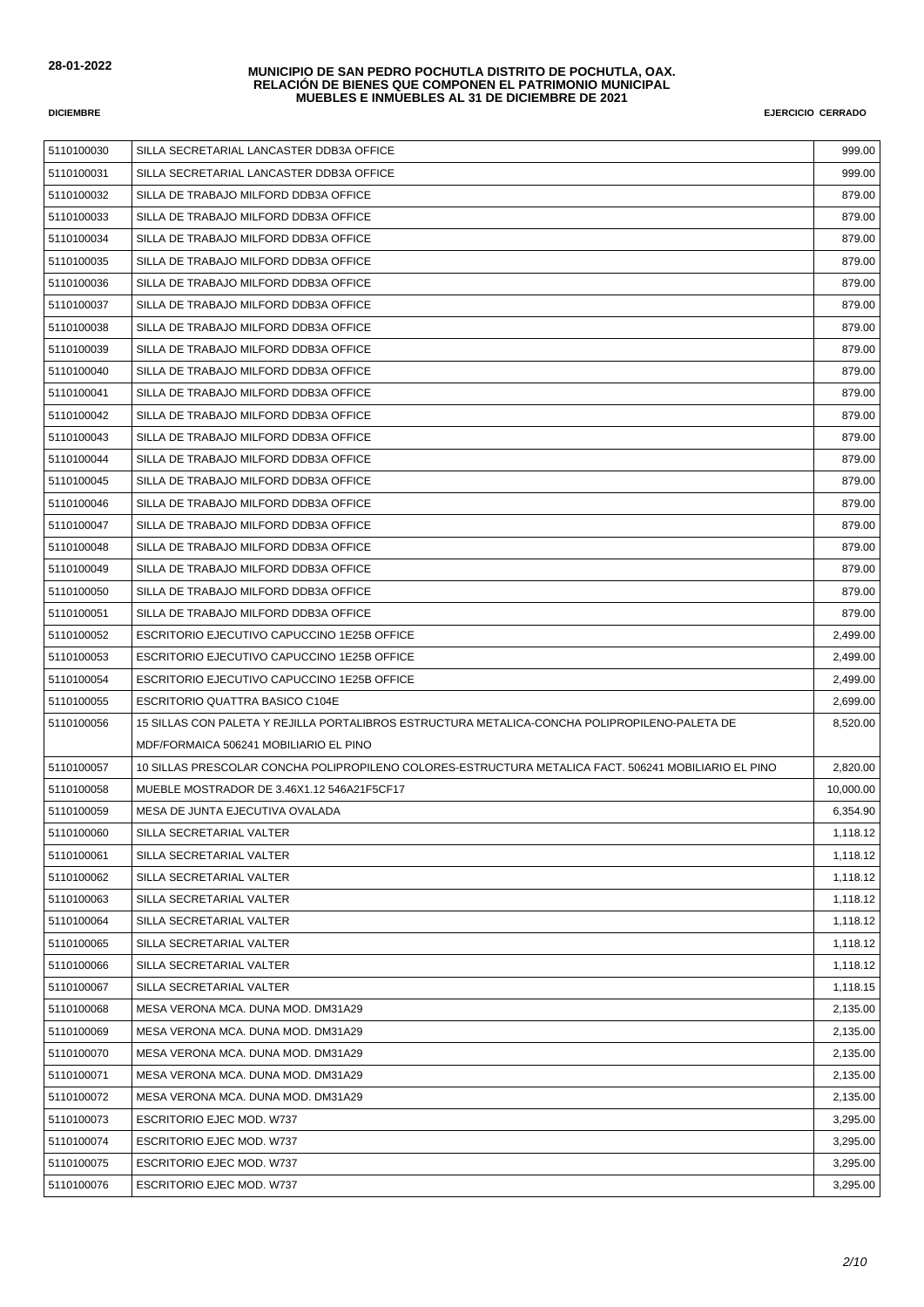| 5110100030 | SILLA SECRETARIAL LANCASTER DDB3A OFFICE                                                             | 999.00    |
|------------|------------------------------------------------------------------------------------------------------|-----------|
| 5110100031 | SILLA SECRETARIAL LANCASTER DDB3A OFFICE                                                             | 999.00    |
| 5110100032 | SILLA DE TRABAJO MILFORD DDB3A OFFICE                                                                | 879.00    |
| 5110100033 | SILLA DE TRABAJO MILFORD DDB3A OFFICE                                                                | 879.00    |
| 5110100034 | SILLA DE TRABAJO MILFORD DDB3A OFFICE                                                                | 879.00    |
| 5110100035 | SILLA DE TRABAJO MILFORD DDB3A OFFICE                                                                | 879.00    |
| 5110100036 | SILLA DE TRABAJO MILFORD DDB3A OFFICE                                                                | 879.00    |
| 5110100037 | SILLA DE TRABAJO MILFORD DDB3A OFFICE                                                                | 879.00    |
| 5110100038 | SILLA DE TRABAJO MILFORD DDB3A OFFICE                                                                | 879.00    |
| 5110100039 | SILLA DE TRABAJO MILFORD DDB3A OFFICE                                                                | 879.00    |
| 5110100040 | SILLA DE TRABAJO MILFORD DDB3A OFFICE                                                                | 879.00    |
| 5110100041 | SILLA DE TRABAJO MILFORD DDB3A OFFICE                                                                | 879.00    |
| 5110100042 | SILLA DE TRABAJO MILFORD DDB3A OFFICE                                                                | 879.00    |
| 5110100043 | SILLA DE TRABAJO MILFORD DDB3A OFFICE                                                                | 879.00    |
| 5110100044 | SILLA DE TRABAJO MILFORD DDB3A OFFICE                                                                | 879.00    |
| 5110100045 | SILLA DE TRABAJO MILFORD DDB3A OFFICE                                                                | 879.00    |
| 5110100046 | SILLA DE TRABAJO MILFORD DDB3A OFFICE                                                                | 879.00    |
| 5110100047 | SILLA DE TRABAJO MILFORD DDB3A OFFICE                                                                | 879.00    |
| 5110100048 | SILLA DE TRABAJO MILFORD DDB3A OFFICE                                                                | 879.00    |
| 5110100049 | SILLA DE TRABAJO MILFORD DDB3A OFFICE                                                                | 879.00    |
| 5110100050 | SILLA DE TRABAJO MILFORD DDB3A OFFICE                                                                | 879.00    |
| 5110100051 | SILLA DE TRABAJO MILFORD DDB3A OFFICE                                                                | 879.00    |
| 5110100052 | ESCRITORIO EJECUTIVO CAPUCCINO 1E25B OFFICE                                                          | 2,499.00  |
| 5110100053 | ESCRITORIO EJECUTIVO CAPUCCINO 1E25B OFFICE                                                          | 2,499.00  |
| 5110100054 | ESCRITORIO EJECUTIVO CAPUCCINO 1E25B OFFICE                                                          | 2,499.00  |
| 5110100055 | ESCRITORIO QUATTRA BASICO C104E                                                                      | 2,699.00  |
| 5110100056 | 15 SILLAS CON PALETA Y REJILLA PORTALIBROS ESTRUCTURA METALICA-CONCHA POLIPROPILENO-PALETA DE        | 8,520.00  |
|            | MDF/FORMAICA 506241 MOBILIARIO EL PINO                                                               |           |
| 5110100057 | 10 SILLAS PRESCOLAR CONCHA POLIPROPILENO COLORES-ESTRUCTURA METALICA FACT. 506241 MOBILIARIO EL PINO | 2,820.00  |
| 5110100058 | MUEBLE MOSTRADOR DE 3.46X1.12 546A21F5CF17                                                           | 10,000.00 |
| 5110100059 | MESA DE JUNTA EJECUTIVA OVALADA                                                                      | 6,354.90  |
| 5110100060 | SILLA SECRETARIAL VALTER                                                                             | 1,118.12  |
| 5110100061 | SILLA SECRETARIAL VALTER                                                                             | 1,118.12  |
| 5110100062 | SILLA SECRETARIAL VALTER                                                                             | 1,118.12  |
| 5110100063 | SILLA SECRETARIAL VALTER                                                                             | 1,118.12  |
| 5110100064 | SILLA SECRETARIAL VALTER                                                                             | 1,118.12  |
| 5110100065 | SILLA SECRETARIAL VALTER                                                                             | 1,118.12  |
| 5110100066 | SILLA SECRETARIAL VALTER                                                                             | 1,118.12  |
| 5110100067 | SILLA SECRETARIAL VALTER                                                                             | 1,118.15  |
| 5110100068 | MESA VERONA MCA, DUNA MOD, DM31A29                                                                   | 2,135.00  |
| 5110100069 | MESA VERONA MCA. DUNA MOD. DM31A29                                                                   | 2,135.00  |
| 5110100070 | MESA VERONA MCA. DUNA MOD. DM31A29                                                                   | 2,135.00  |
| 5110100071 | MESA VERONA MCA. DUNA MOD. DM31A29                                                                   | 2,135.00  |
| 5110100072 | MESA VERONA MCA. DUNA MOD. DM31A29                                                                   | 2,135.00  |
| 5110100073 | ESCRITORIO EJEC MOD. W737                                                                            | 3,295.00  |
| 5110100074 | ESCRITORIO EJEC MOD. W737                                                                            | 3,295.00  |
| 5110100075 | ESCRITORIO EJEC MOD. W737                                                                            | 3,295.00  |
| 5110100076 | <b>ESCRITORIO EJEC MOD. W737</b>                                                                     | 3,295.00  |
|            |                                                                                                      |           |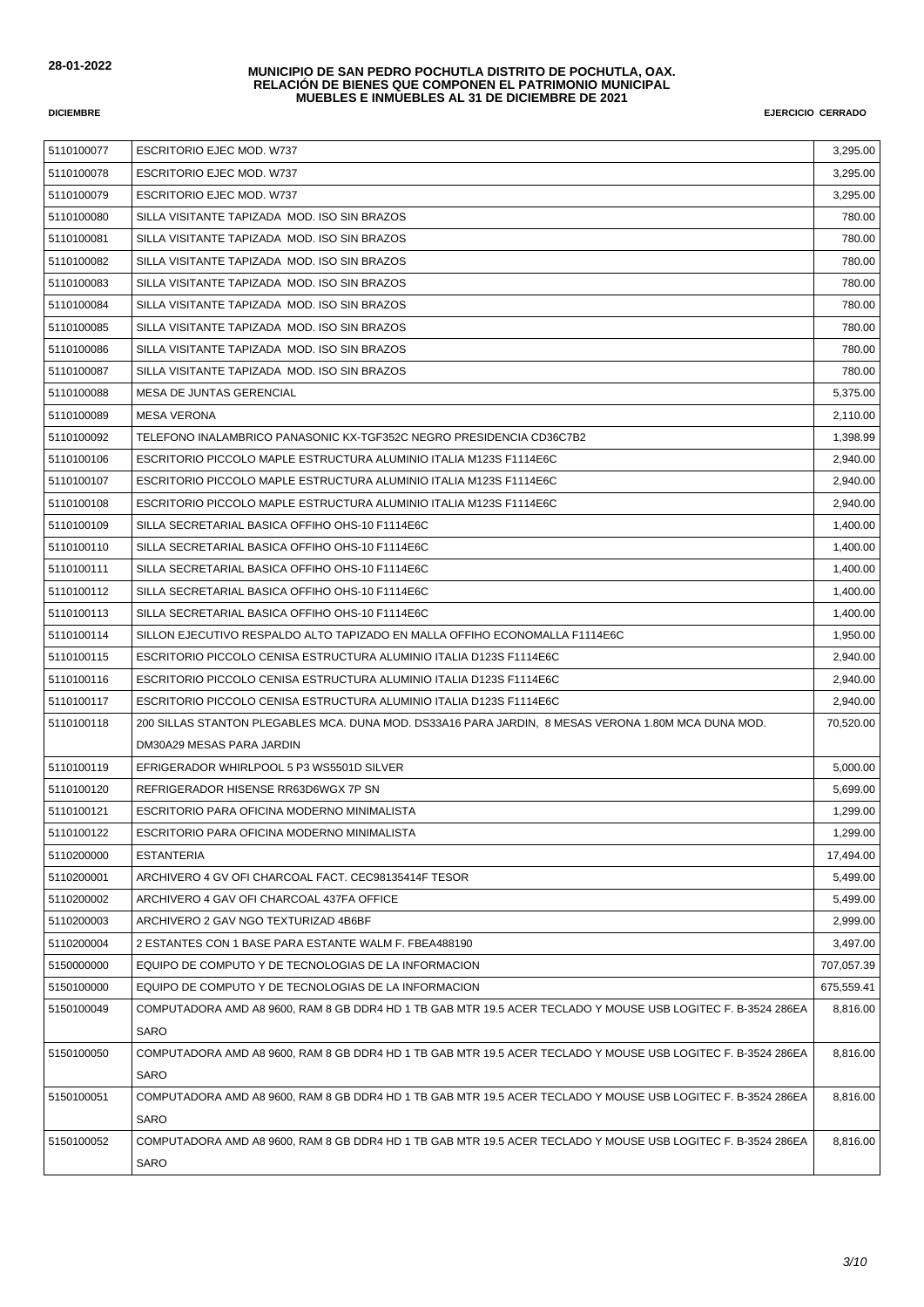| 5110100077 | <b>ESCRITORIO EJEC MOD. W737</b>                                                                             | 3,295.00   |
|------------|--------------------------------------------------------------------------------------------------------------|------------|
| 5110100078 | ESCRITORIO EJEC MOD. W737                                                                                    | 3,295.00   |
| 5110100079 | <b>ESCRITORIO EJEC MOD. W737</b>                                                                             | 3,295.00   |
| 5110100080 | SILLA VISITANTE TAPIZADA MOD. ISO SIN BRAZOS                                                                 | 780.00     |
| 5110100081 | SILLA VISITANTE TAPIZADA MOD. ISO SIN BRAZOS                                                                 | 780.00     |
| 5110100082 | SILLA VISITANTE TAPIZADA MOD. ISO SIN BRAZOS                                                                 | 780.00     |
| 5110100083 | SILLA VISITANTE TAPIZADA MOD. ISO SIN BRAZOS                                                                 | 780.00     |
| 5110100084 | SILLA VISITANTE TAPIZADA MOD. ISO SIN BRAZOS                                                                 | 780.00     |
| 5110100085 | SILLA VISITANTE TAPIZADA MOD. ISO SIN BRAZOS                                                                 | 780.00     |
| 5110100086 | SILLA VISITANTE TAPIZADA MOD. ISO SIN BRAZOS                                                                 | 780.00     |
| 5110100087 | SILLA VISITANTE TAPIZADA MOD. ISO SIN BRAZOS                                                                 | 780.00     |
| 5110100088 | MESA DE JUNTAS GERENCIAL                                                                                     | 5,375.00   |
| 5110100089 | <b>MESA VERONA</b>                                                                                           | 2,110.00   |
| 5110100092 | TELEFONO INALAMBRICO PANASONIC KX-TGF352C NEGRO PRESIDENCIA CD36C7B2                                         | 1,398.99   |
| 5110100106 | ESCRITORIO PICCOLO MAPLE ESTRUCTURA ALUMINIO ITALIA M123S F1114E6C                                           | 2,940.00   |
| 5110100107 | ESCRITORIO PICCOLO MAPLE ESTRUCTURA ALUMINIO ITALIA M123S F1114E6C                                           | 2.940.00   |
| 5110100108 | ESCRITORIO PICCOLO MAPLE ESTRUCTURA ALUMINIO ITALIA M123S F1114E6C                                           | 2,940.00   |
| 5110100109 | SILLA SECRETARIAL BASICA OFFIHO OHS-10 F1114E6C                                                              | 1,400.00   |
| 5110100110 | SILLA SECRETARIAL BASICA OFFIHO OHS-10 F1114E6C                                                              | 1,400.00   |
| 5110100111 | SILLA SECRETARIAL BASICA OFFIHO OHS-10 F1114E6C                                                              | 1,400.00   |
| 5110100112 | SILLA SECRETARIAL BASICA OFFIHO OHS-10 F1114E6C                                                              | 1,400.00   |
| 5110100113 | SILLA SECRETARIAL BASICA OFFIHO OHS-10 F1114E6C                                                              | 1,400.00   |
| 5110100114 | SILLON EJECUTIVO RESPALDO ALTO TAPIZADO EN MALLA OFFIHO ECONOMALLA F1114E6C                                  | 1,950.00   |
| 5110100115 | ESCRITORIO PICCOLO CENISA ESTRUCTURA ALUMINIO ITALIA D123S F1114E6C                                          | 2,940.00   |
| 5110100116 | ESCRITORIO PICCOLO CENISA ESTRUCTURA ALUMINIO ITALIA D123S F1114E6C                                          | 2,940.00   |
| 5110100117 | ESCRITORIO PICCOLO CENISA ESTRUCTURA ALUMINIO ITALIA D123S F1114E6C                                          | 2,940.00   |
| 5110100118 | 200 SILLAS STANTON PLEGABLES MCA. DUNA MOD. DS33A16 PARA JARDIN, 8 MESAS VERONA 1.80M MCA DUNA MOD.          | 70,520.00  |
|            | DM30A29 MESAS PARA JARDIN                                                                                    |            |
| 5110100119 | EFRIGERADOR WHIRLPOOL 5 P3 WS5501D SILVER                                                                    | 5,000.00   |
| 5110100120 | REFRIGERADOR HISENSE RR63D6WGX 7P SN                                                                         | 5,699.00   |
| 5110100121 | ESCRITORIO PARA OFICINA MODERNO MINIMALISTA                                                                  | 1,299.00   |
| 5110100122 | ESCRITORIO PARA OFICINA MODERNO MINIMALISTA                                                                  | 1,299.00   |
| 5110200000 | <b>ESTANTERIA</b>                                                                                            | 17,494.00  |
| 5110200001 | ARCHIVERO 4 GV OFI CHARCOAL FACT. CEC98135414F TESOR                                                         | 5,499.00   |
| 5110200002 | ARCHIVERO 4 GAV OFI CHARCOAL 437FA OFFICE                                                                    | 5,499.00   |
| 5110200003 | ARCHIVERO 2 GAV NGO TEXTURIZAD 4B6BF                                                                         | 2,999.00   |
| 5110200004 | 2 ESTANTES CON 1 BASE PARA ESTANTE WALM F. FBEA488190                                                        | 3,497.00   |
| 5150000000 | EQUIPO DE COMPUTO Y DE TECNOLOGIAS DE LA INFORMACION                                                         | 707,057.39 |
| 5150100000 | EQUIPO DE COMPUTO Y DE TECNOLOGIAS DE LA INFORMACION                                                         | 675,559.41 |
| 5150100049 | COMPUTADORA AMD A8 9600, RAM 8 GB DDR4 HD 1 TB GAB MTR 19.5 ACER TECLADO Y MOUSE USB LOGITEC F. B-3524 286EA | 8,816.00   |
|            | SARO                                                                                                         |            |
| 5150100050 | COMPUTADORA AMD A8 9600, RAM 8 GB DDR4 HD 1 TB GAB MTR 19.5 ACER TECLADO Y MOUSE USB LOGITEC F. B-3524 286EA | 8,816.00   |
|            | SARO                                                                                                         |            |
| 5150100051 | COMPUTADORA AMD A8 9600, RAM 8 GB DDR4 HD 1 TB GAB MTR 19.5 ACER TECLADO Y MOUSE USB LOGITEC F. B-3524 286EA | 8,816.00   |
|            | SARO                                                                                                         |            |
| 5150100052 | COMPUTADORA AMD A8 9600, RAM 8 GB DDR4 HD 1 TB GAB MTR 19.5 ACER TECLADO Y MOUSE USB LOGITEC F. B-3524 286EA | 8,816.00   |
|            | SARO                                                                                                         |            |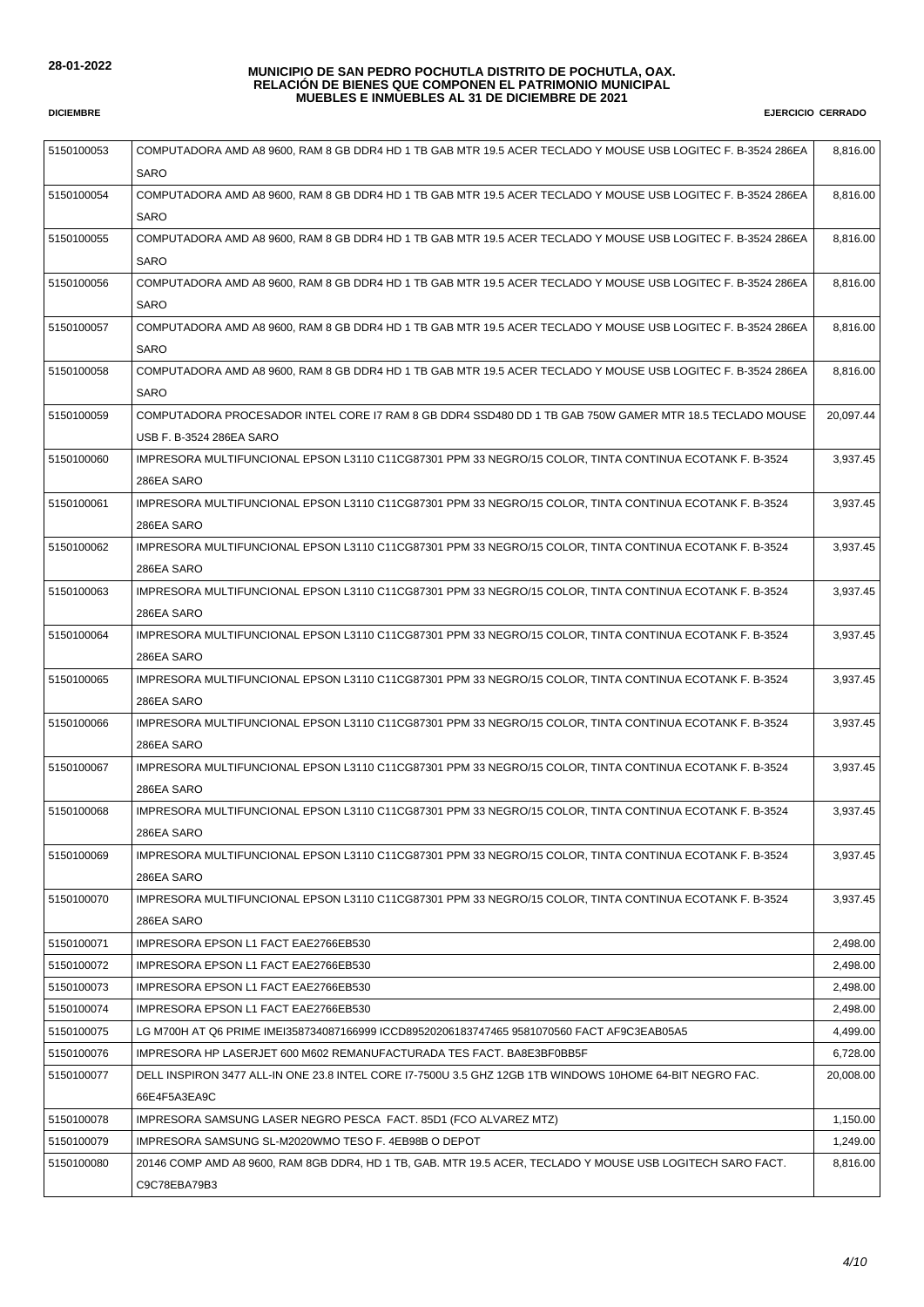| 5150100053 | COMPUTADORA AMD A8 9600, RAM 8 GB DDR4 HD 1 TB GAB MTR 19.5 ACER TECLADO Y MOUSE USB LOGITEC F. B-3524 286EA | 8,816.00  |
|------------|--------------------------------------------------------------------------------------------------------------|-----------|
|            | SARO                                                                                                         |           |
| 5150100054 | COMPUTADORA AMD A8 9600, RAM 8 GB DDR4 HD 1 TB GAB MTR 19.5 ACER TECLADO Y MOUSE USB LOGITEC F. B-3524 286EA | 8,816.00  |
|            | <b>SARO</b>                                                                                                  |           |
| 5150100055 | COMPUTADORA AMD A8 9600, RAM 8 GB DDR4 HD 1 TB GAB MTR 19.5 ACER TECLADO Y MOUSE USB LOGITEC F. B-3524 286EA | 8,816.00  |
|            | <b>SARO</b>                                                                                                  |           |
| 5150100056 | COMPUTADORA AMD A8 9600, RAM 8 GB DDR4 HD 1 TB GAB MTR 19.5 ACER TECLADO Y MOUSE USB LOGITEC F. B-3524 286EA | 8,816.00  |
|            | SARO                                                                                                         |           |
| 5150100057 | COMPUTADORA AMD A8 9600, RAM 8 GB DDR4 HD 1 TB GAB MTR 19.5 ACER TECLADO Y MOUSE USB LOGITEC F. B-3524 286EA | 8,816.00  |
|            | <b>SARO</b>                                                                                                  |           |
| 5150100058 | COMPUTADORA AMD A8 9600, RAM 8 GB DDR4 HD 1 TB GAB MTR 19.5 ACER TECLADO Y MOUSE USB LOGITEC F. B-3524 286EA | 8,816.00  |
|            | SARO                                                                                                         |           |
| 5150100059 | COMPUTADORA PROCESADOR INTEL CORE I7 RAM 8 GB DDR4 SSD480 DD 1 TB GAB 750W GAMER MTR 18.5 TECLADO MOUSE      | 20,097.44 |
|            | USB F. B-3524 286EA SARO                                                                                     |           |
| 5150100060 | IMPRESORA MULTIFUNCIONAL EPSON L3110 C11CG87301 PPM 33 NEGRO/15 COLOR, TINTA CONTINUA ECOTANK F. B-3524      | 3,937.45  |
|            | 286EA SARO                                                                                                   |           |
| 5150100061 | IMPRESORA MULTIFUNCIONAL EPSON L3110 C11CG87301 PPM 33 NEGRO/15 COLOR, TINTA CONTINUA ECOTANK F. B-3524      | 3.937.45  |
|            | 286EA SARO                                                                                                   |           |
| 5150100062 | IMPRESORA MULTIFUNCIONAL EPSON L3110 C11CG87301 PPM 33 NEGRO/15 COLOR, TINTA CONTINUA ECOTANK F. B-3524      | 3,937.45  |
|            | 286EA SARO                                                                                                   |           |
| 5150100063 | IMPRESORA MULTIFUNCIONAL EPSON L3110 C11CG87301 PPM 33 NEGRO/15 COLOR, TINTA CONTINUA ECOTANK F. B-3524      | 3,937.45  |
|            | 286EA SARO                                                                                                   |           |
| 5150100064 | IMPRESORA MULTIFUNCIONAL EPSON L3110 C11CG87301 PPM 33 NEGRO/15 COLOR, TINTA CONTINUA ECOTANK F. B-3524      | 3,937.45  |
|            | 286EA SARO                                                                                                   |           |
| 5150100065 | IMPRESORA MULTIFUNCIONAL EPSON L3110 C11CG87301 PPM 33 NEGRO/15 COLOR, TINTA CONTINUA ECOTANK F. B-3524      | 3,937.45  |
|            | 286EA SARO                                                                                                   |           |
| 5150100066 | IMPRESORA MULTIFUNCIONAL EPSON L3110 C11CG87301 PPM 33 NEGRO/15 COLOR, TINTA CONTINUA ECOTANK F. B-3524      | 3,937.45  |
|            | 286EA SARO                                                                                                   |           |
| 5150100067 | IMPRESORA MULTIFUNCIONAL EPSON L3110 C11CG87301 PPM 33 NEGRO/15 COLOR, TINTA CONTINUA ECOTANK F. B-3524      | 3,937.45  |
|            | 286EA SARO                                                                                                   |           |
| 5150100068 | IMPRESORA MULTIFUNCIONAL EPSON L3110 C11CG87301 PPM 33 NEGRO/15 COLOR, TINTA CONTINUA ECOTANK F. B-3524      | 3,937.45  |
|            | 286EA SARO                                                                                                   |           |
| 5150100069 | IMPRESORA MULTIFUNCIONAL EPSON L3110 C11CG87301 PPM 33 NEGRO/15 COLOR, TINTA CONTINUA ECOTANK F. B-3524      | 3,937.45  |
|            | 286EA SARO                                                                                                   |           |
| 5150100070 | IMPRESORA MULTIFUNCIONAL EPSON L3110 C11CG87301 PPM 33 NEGRO/15 COLOR, TINTA CONTINUA ECOTANK F. B-3524      | 3,937.45  |
|            | 286EA SARO                                                                                                   |           |
| 5150100071 | IMPRESORA EPSON L1 FACT EAE2766EB530                                                                         | 2,498.00  |
| 5150100072 | IMPRESORA EPSON L1 FACT EAE2766EB530                                                                         | 2,498.00  |
| 5150100073 | IMPRESORA EPSON L1 FACT EAE2766EB530                                                                         | 2,498.00  |
| 5150100074 | IMPRESORA EPSON L1 FACT EAE2766EB530                                                                         | 2,498.00  |
| 5150100075 | LG M700H AT Q6 PRIME IMEI358734087166999 ICCD89520206183747465 9581070560 FACT AF9C3EAB05A5                  | 4,499.00  |
| 5150100076 | IMPRESORA HP LASERJET 600 M602 REMANUFACTURADA TES FACT. BA8E3BF0BB5F                                        | 6,728.00  |
| 5150100077 | DELL INSPIRON 3477 ALL-IN ONE 23.8 INTEL CORE 17-7500U 3.5 GHZ 12GB 1TB WINDOWS 10HOME 64-BIT NEGRO FAC.     | 20,008.00 |
|            | 66E4F5A3EA9C                                                                                                 |           |
| 5150100078 | IMPRESORA SAMSUNG LASER NEGRO PESCA FACT. 85D1 (FCO ALVAREZ MTZ)                                             | 1,150.00  |
| 5150100079 | IMPRESORA SAMSUNG SL-M2020WMO TESO F. 4EB98B O DEPOT                                                         | 1,249.00  |
| 5150100080 | 20146 COMP AMD A8 9600, RAM 8GB DDR4, HD 1 TB, GAB. MTR 19.5 ACER, TECLADO Y MOUSE USB LOGITECH SARO FACT.   | 8,816.00  |
|            | C9C78EBA79B3                                                                                                 |           |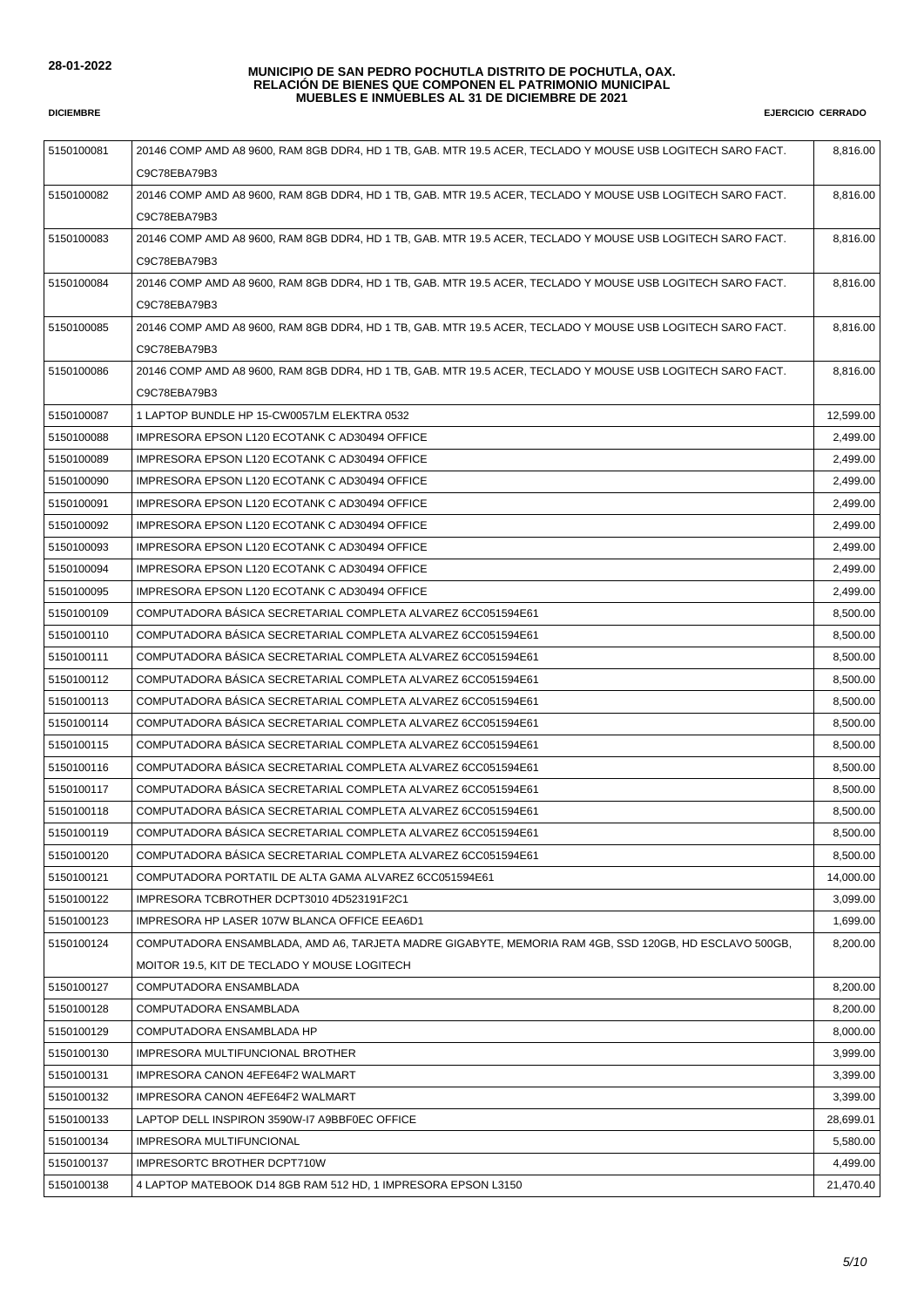| 5150100081 | 20146 COMP AMD A8 9600, RAM 8GB DDR4, HD 1 TB, GAB. MTR 19.5 ACER, TECLADO Y MOUSE USB LOGITECH SARO FACT. | 8,816.00  |
|------------|------------------------------------------------------------------------------------------------------------|-----------|
|            | C9C78EBA79B3                                                                                               |           |
| 5150100082 | 20146 COMP AMD A8 9600, RAM 8GB DDR4, HD 1 TB, GAB. MTR 19.5 ACER, TECLADO Y MOUSE USB LOGITECH SARO FACT. | 8,816.00  |
|            | C9C78EBA79B3                                                                                               |           |
| 5150100083 | 20146 COMP AMD A8 9600, RAM 8GB DDR4, HD 1 TB, GAB. MTR 19.5 ACER, TECLADO Y MOUSE USB LOGITECH SARO FACT. | 8,816.00  |
|            | C9C78EBA79B3                                                                                               |           |
| 5150100084 | 20146 COMP AMD A8 9600, RAM 8GB DDR4, HD 1 TB, GAB. MTR 19.5 ACER, TECLADO Y MOUSE USB LOGITECH SARO FACT. | 8,816.00  |
|            | C9C78EBA79B3                                                                                               |           |
| 5150100085 | 20146 COMP AMD A8 9600, RAM 8GB DDR4, HD 1 TB, GAB. MTR 19.5 ACER, TECLADO Y MOUSE USB LOGITECH SARO FACT. | 8,816.00  |
|            | C9C78EBA79B3                                                                                               |           |
| 5150100086 | 20146 COMP AMD A8 9600, RAM 8GB DDR4, HD 1 TB, GAB. MTR 19.5 ACER, TECLADO Y MOUSE USB LOGITECH SARO FACT. | 8,816.00  |
|            | C9C78EBA79B3                                                                                               |           |
| 5150100087 | 1 LAPTOP BUNDLE HP 15-CW0057LM ELEKTRA 0532                                                                | 12,599.00 |
| 5150100088 | IMPRESORA EPSON L120 ECOTANK C AD30494 OFFICE                                                              | 2,499.00  |
| 5150100089 |                                                                                                            | 2.499.00  |
|            | IMPRESORA EPSON L120 ECOTANK C AD30494 OFFICE                                                              |           |
| 5150100090 | IMPRESORA EPSON L120 ECOTANK C AD30494 OFFICE                                                              | 2,499.00  |
| 5150100091 | IMPRESORA EPSON L120 ECOTANK C AD30494 OFFICE                                                              | 2,499.00  |
| 5150100092 | IMPRESORA EPSON L120 ECOTANK C AD30494 OFFICE                                                              | 2,499.00  |
| 5150100093 | IMPRESORA EPSON L120 ECOTANK C AD30494 OFFICE                                                              | 2,499.00  |
| 5150100094 | IMPRESORA EPSON L120 ECOTANK C AD30494 OFFICE                                                              | 2,499.00  |
| 5150100095 | IMPRESORA EPSON L120 ECOTANK C AD30494 OFFICE                                                              | 2,499.00  |
| 5150100109 | COMPUTADORA BÁSICA SECRETARIAL COMPLETA ALVAREZ 6CC051594E61                                               | 8,500.00  |
| 5150100110 | COMPUTADORA BÁSICA SECRETARIAL COMPLETA ALVAREZ 6CC051594E61                                               | 8,500.00  |
| 5150100111 | COMPUTADORA BÁSICA SECRETARIAL COMPLETA ALVAREZ 6CC051594E61                                               | 8,500.00  |
| 5150100112 | COMPUTADORA BÁSICA SECRETARIAL COMPLETA ALVAREZ 6CC051594E61                                               | 8,500.00  |
| 5150100113 | COMPUTADORA BÁSICA SECRETARIAL COMPLETA ALVAREZ 6CC051594E61                                               | 8,500.00  |
| 5150100114 | COMPUTADORA BÁSICA SECRETARIAL COMPLETA ALVAREZ 6CC051594E61                                               | 8,500.00  |
| 5150100115 | COMPUTADORA BÁSICA SECRETARIAL COMPLETA ALVAREZ 6CC051594E61                                               | 8,500.00  |
| 5150100116 | COMPUTADORA BÁSICA SECRETARIAL COMPLETA ALVAREZ 6CC051594E61                                               | 8,500.00  |
| 5150100117 | COMPUTADORA BÁSICA SECRETARIAL COMPLETA ALVAREZ 6CC051594E61                                               | 8,500.00  |
| 5150100118 | COMPUTADORA BÁSICA SECRETARIAL COMPLETA ALVAREZ 6CC051594E61                                               | 8,500.00  |
| 5150100119 | COMPUTADORA BASICA SECRETARIAL COMPLETA ALVAREZ 6CC051594E61                                               | 8,500.00  |
| 5150100120 | COMPUTADORA BÁSICA SECRETARIAL COMPLETA ALVAREZ 6CC051594E61                                               | 8,500.00  |
| 5150100121 | COMPUTADORA PORTATIL DE ALTA GAMA ALVAREZ 6CC051594E61                                                     | 14,000.00 |
| 5150100122 | IMPRESORA TCBROTHER DCPT3010 4D523191F2C1                                                                  | 3,099.00  |
| 5150100123 | IMPRESORA HP LASER 107W BLANCA OFFICE EEA6D1                                                               | 1,699.00  |
| 5150100124 | COMPUTADORA ENSAMBLADA, AMD A6, TARJETA MADRE GIGABYTE, MEMORIA RAM 4GB, SSD 120GB, HD ESCLAVO 500GB,      | 8,200.00  |
|            | MOITOR 19.5, KIT DE TECLADO Y MOUSE LOGITECH                                                               |           |
| 5150100127 | COMPUTADORA ENSAMBLADA                                                                                     | 8,200.00  |
| 5150100128 | COMPUTADORA ENSAMBLADA                                                                                     | 8,200.00  |
| 5150100129 | COMPUTADORA ENSAMBLADA HP                                                                                  | 8,000.00  |
| 5150100130 | IMPRESORA MULTIFUNCIONAL BROTHER                                                                           | 3,999.00  |
| 5150100131 | IMPRESORA CANON 4EFE64F2 WALMART                                                                           | 3,399.00  |
| 5150100132 | IMPRESORA CANON 4EFE64F2 WALMART                                                                           | 3,399.00  |
| 5150100133 | LAPTOP DELL INSPIRON 3590W-I7 A9BBF0EC OFFICE                                                              | 28,699.01 |
| 5150100134 | IMPRESORA MULTIFUNCIONAL                                                                                   | 5,580.00  |
| 5150100137 | IMPRESORTC BROTHER DCPT710W                                                                                | 4,499.00  |
| 5150100138 | 4 LAPTOP MATEBOOK D14 8GB RAM 512 HD, 1 IMPRESORA EPSON L3150                                              | 21,470.40 |
|            |                                                                                                            |           |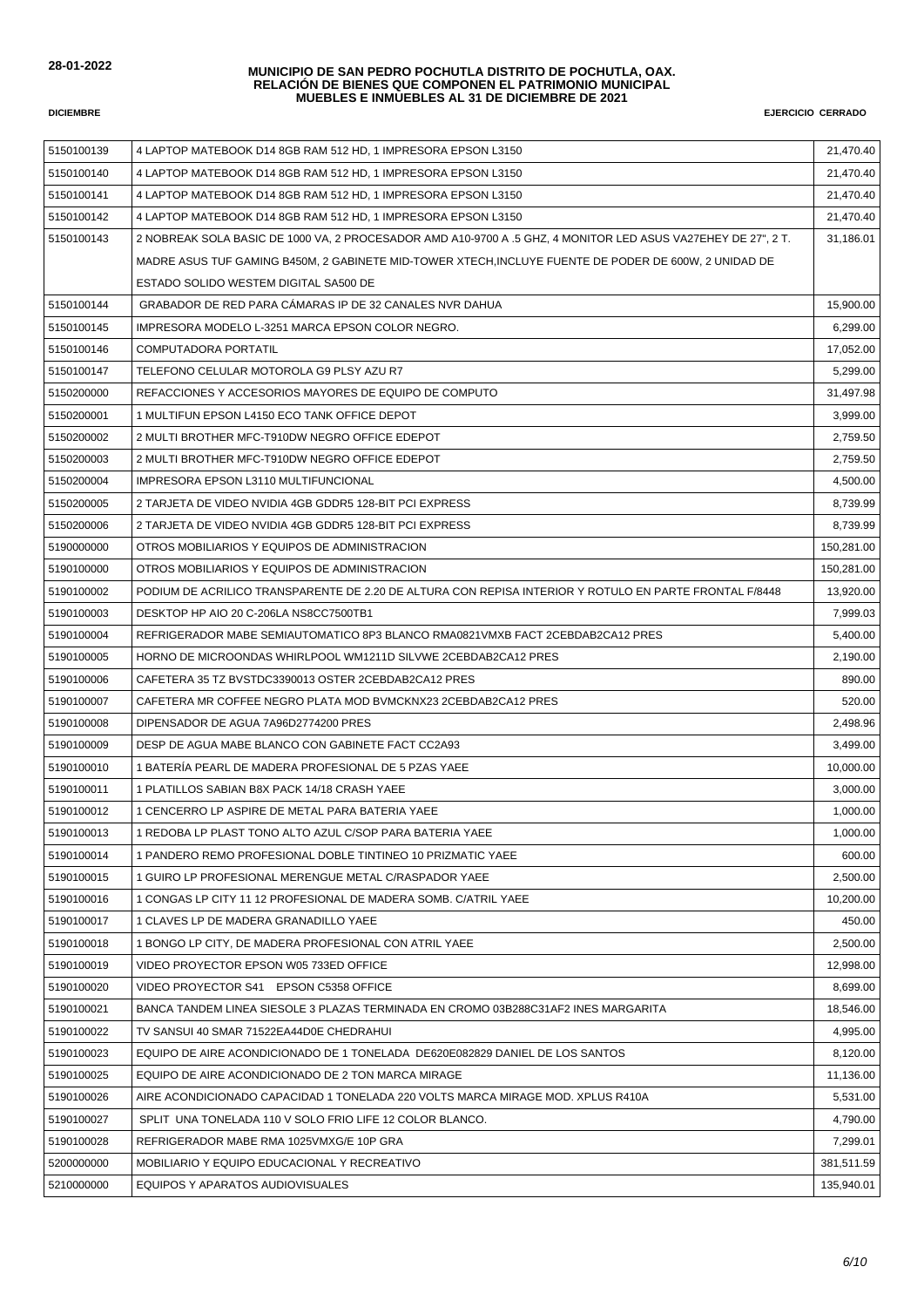| 5150100139 | 4 LAPTOP MATEBOOK D14 8GB RAM 512 HD, 1 IMPRESORA EPSON L3150                                                 | 21,470.40  |
|------------|---------------------------------------------------------------------------------------------------------------|------------|
| 5150100140 | 4 LAPTOP MATEBOOK D14 8GB RAM 512 HD, 1 IMPRESORA EPSON L3150                                                 | 21,470.40  |
| 5150100141 | 4 LAPTOP MATEBOOK D14 8GB RAM 512 HD, 1 IMPRESORA EPSON L3150                                                 | 21,470.40  |
| 5150100142 | 4 LAPTOP MATEBOOK D14 8GB RAM 512 HD, 1 IMPRESORA EPSON L3150                                                 | 21,470.40  |
| 5150100143 | 2 NOBREAK SOLA BASIC DE 1000 VA, 2 PROCESADOR AMD A10-9700 A .5 GHZ, 4 MONITOR LED ASUS VA27EHEY DE 27", 2 T. | 31,186.01  |
|            | MADRE ASUS TUF GAMING B450M, 2 GABINETE MID-TOWER XTECH, INCLUYE FUENTE DE PODER DE 600W, 2 UNIDAD DE         |            |
|            | ESTADO SOLIDO WESTEM DIGITAL SA500 DE                                                                         |            |
| 5150100144 | GRABADOR DE RED PARA CÁMARAS IP DE 32 CANALES NVR DAHUA                                                       | 15,900.00  |
| 5150100145 | IMPRESORA MODELO L-3251 MARCA EPSON COLOR NEGRO.                                                              | 6,299.00   |
| 5150100146 | COMPUTADORA PORTATIL                                                                                          | 17,052.00  |
| 5150100147 | TELEFONO CELULAR MOTOROLA G9 PLSY AZU R7                                                                      | 5,299.00   |
| 5150200000 | REFACCIONES Y ACCESORIOS MAYORES DE EQUIPO DE COMPUTO                                                         | 31,497.98  |
| 5150200001 | 1 MULTIFUN EPSON L4150 ECO TANK OFFICE DEPOT                                                                  | 3,999.00   |
| 5150200002 | 2 MULTI BROTHER MFC-T910DW NEGRO OFFICE EDEPOT                                                                | 2,759.50   |
| 5150200003 | 2 MULTI BROTHER MFC-T910DW NEGRO OFFICE EDEPOT                                                                | 2,759.50   |
| 5150200004 | IMPRESORA EPSON L3110 MULTIFUNCIONAL                                                                          | 4,500.00   |
| 5150200005 | 2 TARJETA DE VIDEO NVIDIA 4GB GDDR5 128-BIT PCI EXPRESS                                                       | 8.739.99   |
| 5150200006 | 2 TARJETA DE VIDEO NVIDIA 4GB GDDR5 128-BIT PCI EXPRESS                                                       | 8,739.99   |
| 5190000000 | OTROS MOBILIARIOS Y EQUIPOS DE ADMINISTRACION                                                                 | 150,281.00 |
| 5190100000 | OTROS MOBILIARIOS Y EQUIPOS DE ADMINISTRACION                                                                 | 150,281.00 |
| 5190100002 | PODIUM DE ACRILICO TRANSPARENTE DE 2.20 DE ALTURA CON REPISA INTERIOR Y ROTULO EN PARTE FRONTAL F/8448        | 13,920.00  |
| 5190100003 | DESKTOP HP AIO 20 C-206LA NS8CC7500TB1                                                                        | 7,999.03   |
| 5190100004 | REFRIGERADOR MABE SEMIAUTOMATICO 8P3 BLANCO RMA0821VMXB FACT 2CEBDAB2CA12 PRES                                | 5,400.00   |
| 5190100005 | HORNO DE MICROONDAS WHIRLPOOL WM1211D SILVWE 2CEBDAB2CA12 PRES                                                | 2,190.00   |
| 5190100006 | CAFETERA 35 TZ BVSTDC3390013 OSTER 2CEBDAB2CA12 PRES                                                          | 890.00     |
| 5190100007 | CAFETERA MR COFFEE NEGRO PLATA MOD BVMCKNX23 2CEBDAB2CA12 PRES                                                | 520.00     |
| 5190100008 | DIPENSADOR DE AGUA 7A96D2774200 PRES                                                                          | 2,498.96   |
| 5190100009 | DESP DE AGUA MABE BLANCO CON GABINETE FACT CC2A93                                                             | 3,499.00   |
| 5190100010 | 1 BATERIA PEARL DE MADERA PROFESIONAL DE 5 PZAS YAEE                                                          | 10,000.00  |
| 5190100011 | 1 PLATILLOS SABIAN B8X PACK 14/18 CRASH YAEE                                                                  | 3,000.00   |
| 5190100012 | 1 CENCERRO LP ASPIRE DE METAL PARA BATERIA YAEE                                                               | 1,000.00   |
| 5190100013 | 1 REDOBA LP PLAST TONO ALTO AZUL C/SOP PARA BATERIA YAEE                                                      | 1,000.00   |
| 5190100014 | 1 PANDERO REMO PROFESIONAL DOBLE TINTINEO 10 PRIZMATIC YAEE                                                   | 600.00     |
| 5190100015 | 1 GUIRO LP PROFESIONAL MERENGUE METAL C/RASPADOR YAEE                                                         | 2,500.00   |
| 5190100016 | 1 CONGAS LP CITY 11 12 PROFESIONAL DE MADERA SOMB. C/ATRIL YAEE                                               | 10,200.00  |
| 5190100017 | 1 CLAVES LP DE MADERA GRANADILLO YAEE                                                                         | 450.00     |
| 5190100018 | 1 BONGO LP CITY, DE MADERA PROFESIONAL CON ATRIL YAEE                                                         | 2,500.00   |
| 5190100019 | VIDEO PROYECTOR EPSON W05 733ED OFFICE                                                                        | 12,998.00  |
| 5190100020 | VIDEO PROYECTOR S41 EPSON C5358 OFFICE                                                                        | 8,699.00   |
| 5190100021 | BANCA TANDEM LINEA SIESOLE 3 PLAZAS TERMINADA EN CROMO 03B288C31AF2 INES MARGARITA                            | 18,546.00  |
| 5190100022 | TV SANSUI 40 SMAR 71522EA44D0E CHEDRAHUI                                                                      | 4.995.00   |
| 5190100023 | EQUIPO DE AIRE ACONDICIONADO DE 1 TONELADA DE620E082829 DANIEL DE LOS SANTOS                                  | 8,120.00   |
| 5190100025 | EQUIPO DE AIRE ACONDICIONADO DE 2 TON MARCA MIRAGE                                                            | 11,136.00  |
| 5190100026 | AIRE ACONDICIONADO CAPACIDAD 1 TONELADA 220 VOLTS MARCA MIRAGE MOD. XPLUS R410A                               | 5,531.00   |
| 5190100027 | SPLIT UNA TONELADA 110 V SOLO FRIO LIFE 12 COLOR BLANCO.                                                      | 4,790.00   |
| 5190100028 | REFRIGERADOR MABE RMA 1025VMXG/E 10P GRA                                                                      | 7,299.01   |
| 5200000000 | MOBILIARIO Y EQUIPO EDUCACIONAL Y RECREATIVO                                                                  | 381,511.59 |
| 5210000000 | EQUIPOS Y APARATOS AUDIOVISUALES                                                                              | 135,940.01 |
|            |                                                                                                               |            |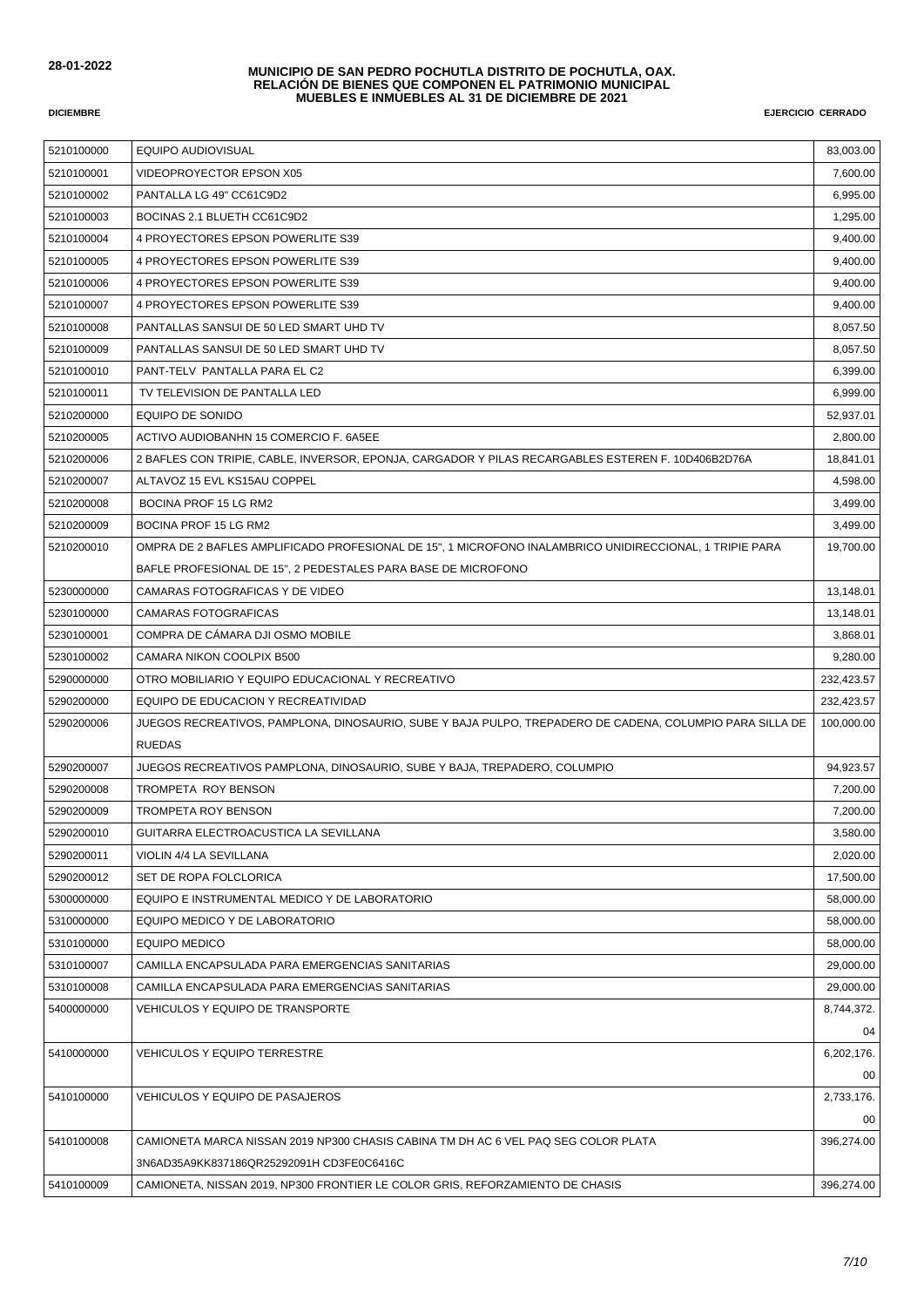| 5210100000 | <b>EQUIPO AUDIOVISUAL</b>                                                                                | 83,003.00  |
|------------|----------------------------------------------------------------------------------------------------------|------------|
| 5210100001 | VIDEOPROYECTOR EPSON X05                                                                                 | 7,600.00   |
| 5210100002 | PANTALLA LG 49" CC61C9D2                                                                                 | 6,995.00   |
| 5210100003 | BOCINAS 2.1 BLUETH CC61C9D2                                                                              | 1,295.00   |
| 5210100004 | 4 PROYECTORES EPSON POWERLITE S39                                                                        | 9,400.00   |
| 5210100005 | 4 PROYECTORES EPSON POWERLITE S39                                                                        | 9,400.00   |
| 5210100006 | 4 PROYECTORES EPSON POWERLITE S39                                                                        | 9,400.00   |
| 5210100007 | 4 PROYECTORES EPSON POWERLITE S39                                                                        | 9,400.00   |
| 5210100008 | PANTALLAS SANSUI DE 50 LED SMART UHD TV                                                                  | 8,057.50   |
| 5210100009 | PANTALLAS SANSUI DE 50 LED SMART UHD TV                                                                  | 8,057.50   |
| 5210100010 | PANT-TELV PANTALLA PARA EL C2                                                                            | 6,399.00   |
| 5210100011 | TV TELEVISION DE PANTALLA LED                                                                            | 6,999.00   |
| 5210200000 | EQUIPO DE SONIDO                                                                                         | 52,937.01  |
| 5210200005 | ACTIVO AUDIOBANHN 15 COMERCIO F. 6A5EE                                                                   | 2,800.00   |
| 5210200006 | 2 BAFLES CON TRIPIE, CABLE, INVERSOR, EPONJA, CARGADOR Y PILAS RECARGABLES ESTEREN F. 10D406B2D76A       | 18,841.01  |
| 5210200007 | ALTAVOZ 15 EVL KS15AU COPPEL                                                                             | 4,598.00   |
| 5210200008 | BOCINA PROF 15 LG RM2                                                                                    | 3,499.00   |
| 5210200009 | BOCINA PROF 15 LG RM2                                                                                    | 3,499.00   |
| 5210200010 | OMPRA DE 2 BAFLES AMPLIFICADO PROFESIONAL DE 15", 1 MICROFONO INALAMBRICO UNIDIRECCIONAL, 1 TRIPIE PARA  | 19,700.00  |
|            | BAFLE PROFESIONAL DE 15", 2 PEDESTALES PARA BASE DE MICROFONO                                            |            |
| 5230000000 | CAMARAS FOTOGRAFICAS Y DE VIDEO                                                                          | 13,148.01  |
| 5230100000 | CAMARAS FOTOGRAFICAS                                                                                     | 13,148.01  |
| 5230100001 | COMPRA DE CÁMARA DJI OSMO MOBILE                                                                         | 3,868.01   |
| 5230100002 | CAMARA NIKON COOLPIX B500                                                                                | 9,280.00   |
| 5290000000 | OTRO MOBILIARIO Y EQUIPO EDUCACIONAL Y RECREATIVO                                                        | 232,423.57 |
| 5290200000 | EQUIPO DE EDUCACION Y RECREATIVIDAD                                                                      | 232,423.57 |
| 5290200006 | JUEGOS RECREATIVOS, PAMPLONA, DINOSAURIO, SUBE Y BAJA PULPO, TREPADERO DE CADENA, COLUMPIO PARA SILLA DE | 100,000.00 |
|            | <b>RUEDAS</b>                                                                                            |            |
| 5290200007 | JUEGOS RECREATIVOS PAMPLONA, DINOSAURIO, SUBE Y BAJA, TREPADERO, COLUMPIO                                | 94,923.57  |
| 5290200008 | TROMPETA ROY BENSON                                                                                      | 7,200.00   |
| 5290200009 | <b>TROMPETA ROY BENSON</b>                                                                               | 7,200.00   |
| 5290200010 | GUITARRA ELECTROACUSTICA LA SEVILLANA                                                                    | 3,580.00   |
| 5290200011 | VIOLIN 4/4 LA SEVILLANA                                                                                  | 2,020.00   |
| 5290200012 | SET DE ROPA FOLCLORICA                                                                                   | 17,500.00  |
| 5300000000 | EQUIPO E INSTRUMENTAL MEDICO Y DE LABORATORIO                                                            | 58,000.00  |
| 5310000000 | EQUIPO MEDICO Y DE LABORATORIO                                                                           | 58,000.00  |
| 5310100000 | <b>EQUIPO MEDICO</b>                                                                                     | 58,000.00  |
| 5310100007 | CAMILLA ENCAPSULADA PARA EMERGENCIAS SANITARIAS                                                          | 29,000.00  |
| 5310100008 | CAMILLA ENCAPSULADA PARA EMERGENCIAS SANITARIAS                                                          | 29,000.00  |
| 5400000000 | VEHICULOS Y EQUIPO DE TRANSPORTE                                                                         | 8,744,372. |
|            |                                                                                                          | 04         |
| 5410000000 | <b>VEHICULOS Y EQUIPO TERRESTRE</b>                                                                      | 6,202,176. |
|            |                                                                                                          | 00         |
| 5410100000 | VEHICULOS Y EQUIPO DE PASAJEROS                                                                          | 2,733,176. |
|            |                                                                                                          | 00         |
| 5410100008 | CAMIONETA MARCA NISSAN 2019 NP300 CHASIS CABINA TM DH AC 6 VEL PAQ SEG COLOR PLATA                       | 396,274.00 |
|            | 3N6AD35A9KK837186QR25292091H CD3FE0C6416C                                                                |            |
| 5410100009 | CAMIONETA, NISSAN 2019, NP300 FRONTIER LE COLOR GRIS, REFORZAMIENTO DE CHASIS                            | 396,274.00 |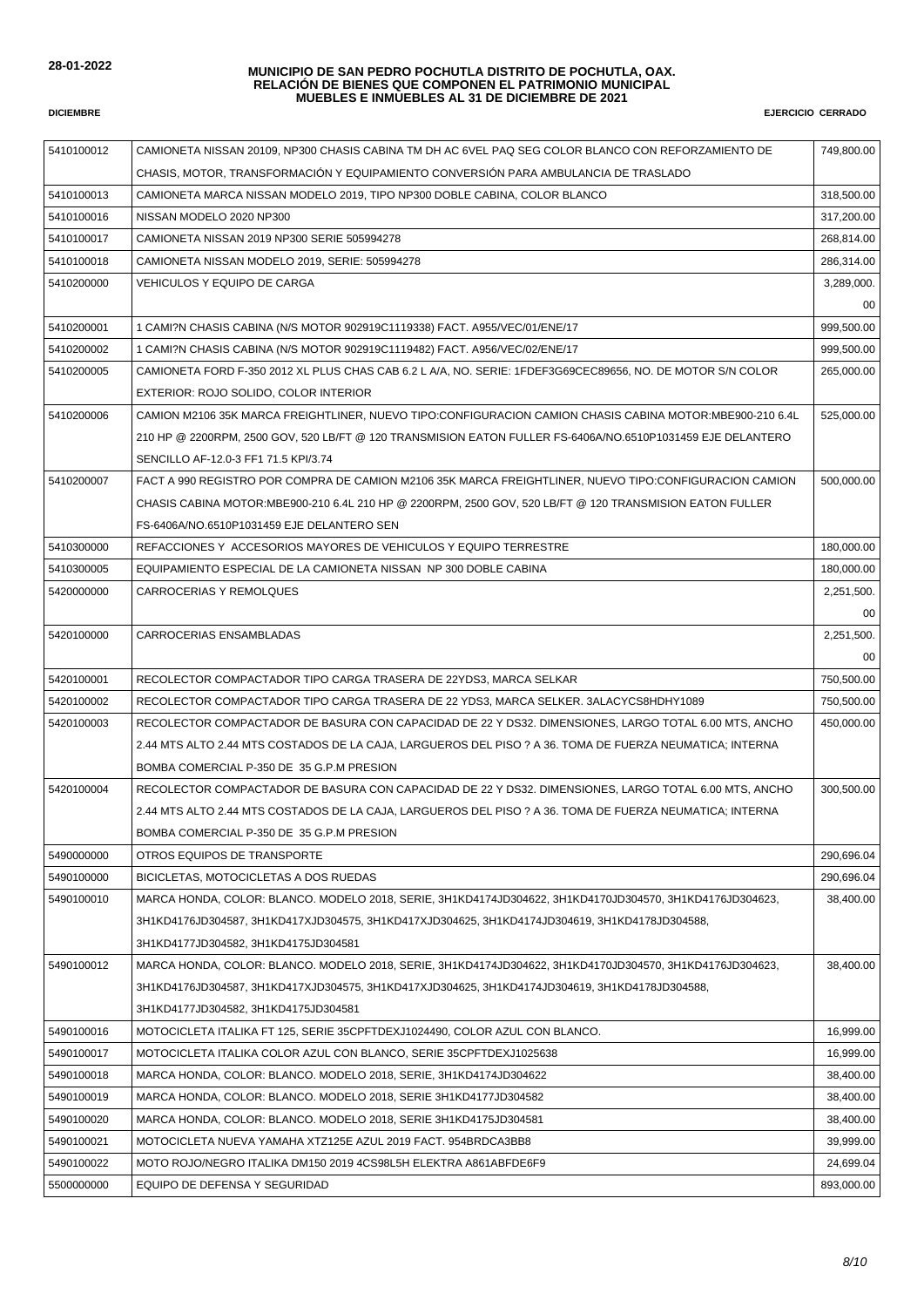| 5410100012 | CAMIONETA NISSAN 20109, NP300 CHASIS CABINA TM DH AC 6VEL PAQ SEG COLOR BLANCO CON REFORZAMIENTO DE         | 749,800.00 |
|------------|-------------------------------------------------------------------------------------------------------------|------------|
|            | CHASIS, MOTOR, TRANSFORMACIÓN Y EQUIPAMIENTO CONVERSIÓN PARA AMBULANCIA DE TRASLADO                         |            |
| 5410100013 | CAMIONETA MARCA NISSAN MODELO 2019, TIPO NP300 DOBLE CABINA, COLOR BLANCO                                   | 318,500.00 |
| 5410100016 | NISSAN MODELO 2020 NP300                                                                                    | 317,200.00 |
| 5410100017 | CAMIONETA NISSAN 2019 NP300 SERIE 505994278                                                                 | 268.814.00 |
| 5410100018 | CAMIONETA NISSAN MODELO 2019, SERIE: 505994278                                                              | 286,314.00 |
| 5410200000 | VEHICULOS Y EQUIPO DE CARGA                                                                                 | 3,289,000. |
|            |                                                                                                             | 00         |
| 5410200001 | 1 CAMI?N CHASIS CABINA (N/S MOTOR 902919C1119338) FACT. A955/VEC/01/ENE/17                                  | 999,500.00 |
| 5410200002 | 1 CAMI?N CHASIS CABINA (N/S MOTOR 902919C1119482) FACT. A956/VEC/02/ENE/17                                  | 999,500.00 |
| 5410200005 | CAMIONETA FORD F-350 2012 XL PLUS CHAS CAB 6.2 L A/A, NO. SERIE: 1FDEF3G69CEC89656, NO. DE MOTOR S/N COLOR  | 265,000.00 |
|            | EXTERIOR: ROJO SOLIDO, COLOR INTERIOR                                                                       |            |
| 5410200006 | CAMION M2106 35K MARCA FREIGHTLINER, NUEVO TIPO:CONFIGURACION CAMION CHASIS CABINA MOTOR:MBE900-210 6.4L    | 525,000.00 |
|            | 210 HP @ 2200RPM, 2500 GOV, 520 LB/FT @ 120 TRANSMISION EATON FULLER FS-6406A/NO.6510P1031459 EJE DELANTERO |            |
|            | SENCILLO AF-12.0-3 FF1 71.5 KPI/3.74                                                                        |            |
| 5410200007 | FACT A 990 REGISTRO POR COMPRA DE CAMION M2106 35K MARCA FREIGHTLINER, NUEVO TIPO:CONFIGURACION CAMION      | 500,000.00 |
|            | CHASIS CABINA MOTOR:MBE900-210 6.4L 210 HP @ 2200RPM, 2500 GOV, 520 LB/FT @ 120 TRANSMISION EATON FULLER    |            |
|            | FS-6406A/NO.6510P1031459 EJE DELANTERO SEN                                                                  |            |
| 5410300000 | REFACCIONES Y ACCESORIOS MAYORES DE VEHICULOS Y EQUIPO TERRESTRE                                            | 180,000.00 |
| 5410300005 | EQUIPAMIENTO ESPECIAL DE LA CAMIONETA NISSAN NP 300 DOBLE CABINA                                            | 180,000.00 |
| 5420000000 | CARROCERIAS Y REMOLQUES                                                                                     | 2,251,500. |
|            |                                                                                                             | 00         |
| 5420100000 | CARROCERIAS ENSAMBLADAS                                                                                     | 2,251,500. |
|            |                                                                                                             | 00         |
| 5420100001 | RECOLECTOR COMPACTADOR TIPO CARGA TRASERA DE 22YDS3, MARCA SELKAR                                           | 750,500.00 |
| 5420100002 | RECOLECTOR COMPACTADOR TIPO CARGA TRASERA DE 22 YDS3, MARCA SELKER. 3ALACYCS8HDHY1089                       | 750,500.00 |
| 5420100003 | RECOLECTOR COMPACTADOR DE BASURA CON CAPACIDAD DE 22 Y DS32. DIMENSIONES, LARGO TOTAL 6.00 MTS, ANCHO       | 450,000.00 |
|            | 2.44 MTS ALTO 2.44 MTS COSTADOS DE LA CAJA, LARGUEROS DEL PISO ? A 36. TOMA DE FUERZA NEUMATICA; INTERNA    |            |
|            | BOMBA COMERCIAL P-350 DE 35 G.P.M PRESION                                                                   |            |
| 5420100004 | RECOLECTOR COMPACTADOR DE BASURA CON CAPACIDAD DE 22 Y DS32. DIMENSIONES, LARGO TOTAL 6.00 MTS, ANCHO       | 300,500.00 |
|            | 2.44 MTS ALTO 2.44 MTS COSTADOS DE LA CAJA, LARGUEROS DEL PISO ? A 36. TOMA DE FUERZA NEUMATICA; INTERNA    |            |
|            | BOMBA COMERCIAL P-350 DE 35 G.P.M PRESION                                                                   |            |
| 5490000000 | OTROS EQUIPOS DE TRANSPORTE                                                                                 | 290,696.04 |
| 5490100000 | BICICLETAS, MOTOCICLETAS A DOS RUEDAS                                                                       | 290,696.04 |
| 5490100010 | MARCA HONDA, COLOR: BLANCO. MODELO 2018, SERIE, 3H1KD4174JD304622, 3H1KD4170JD304570, 3H1KD4176JD304623,    | 38,400.00  |
|            | 3H1KD4176JD304587, 3H1KD417XJD304575, 3H1KD417XJD304625, 3H1KD4174JD304619, 3H1KD4178JD304588,              |            |
|            | 3H1KD4177JD304582, 3H1KD4175JD304581                                                                        |            |
| 5490100012 | MARCA HONDA, COLOR: BLANCO. MODELO 2018, SERIE, 3H1KD4174JD304622, 3H1KD4170JD304570, 3H1KD4176JD304623,    | 38.400.00  |
|            | 3H1KD4176JD304587, 3H1KD417XJD304575, 3H1KD417XJD304625, 3H1KD4174JD304619, 3H1KD4178JD304588,              |            |
|            | 3H1KD4177JD304582, 3H1KD4175JD304581                                                                        |            |
| 5490100016 | MOTOCICLETA ITALIKA FT 125, SERIE 35CPFTDEXJ1024490, COLOR AZUL CON BLANCO.                                 | 16,999.00  |
| 5490100017 | MOTOCICLETA ITALIKA COLOR AZUL CON BLANCO, SERIE 35CPFTDEXJ1025638                                          | 16,999.00  |
| 5490100018 | MARCA HONDA, COLOR: BLANCO. MODELO 2018, SERIE, 3H1KD4174JD304622                                           | 38,400.00  |
| 5490100019 | MARCA HONDA, COLOR: BLANCO. MODELO 2018, SERIE 3H1KD4177JD304582                                            | 38,400.00  |
| 5490100020 | MARCA HONDA, COLOR: BLANCO. MODELO 2018, SERIE 3H1KD4175JD304581                                            | 38,400.00  |
| 5490100021 | MOTOCICLETA NUEVA YAMAHA XTZ125E AZUL 2019 FACT. 954BRDCA3BB8                                               | 39,999.00  |
| 5490100022 | MOTO ROJO/NEGRO ITALIKA DM150 2019 4CS98L5H ELEKTRA A861ABFDE6F9                                            | 24,699.04  |
| 5500000000 | EQUIPO DE DEFENSA Y SEGURIDAD                                                                               | 893,000.00 |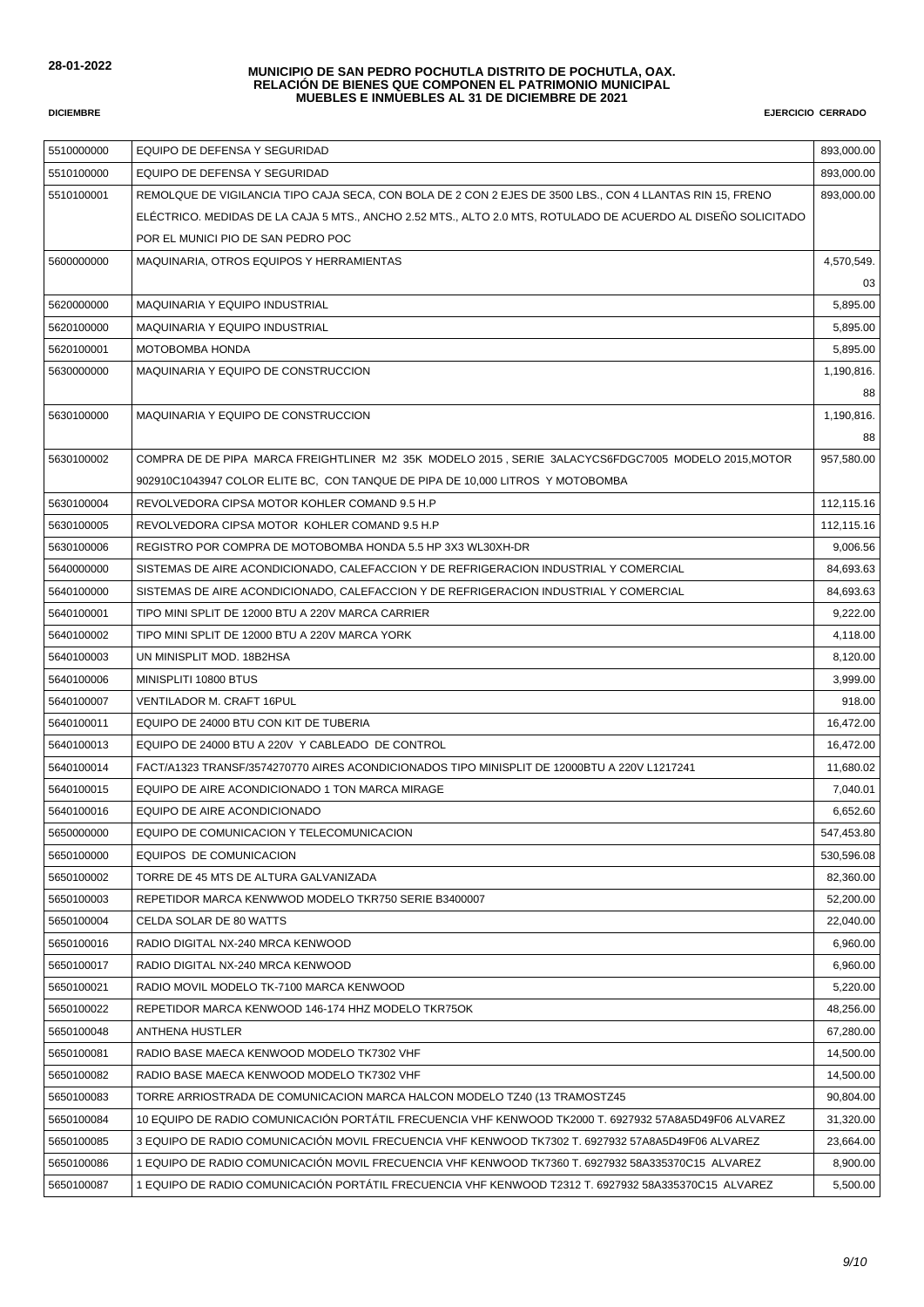| 5510000000 | EQUIPO DE DEFENSA Y SEGURIDAD                                                                                 | 893,000.00 |
|------------|---------------------------------------------------------------------------------------------------------------|------------|
| 5510100000 | EQUIPO DE DEFENSA Y SEGURIDAD                                                                                 | 893,000.00 |
| 5510100001 | REMOLQUE DE VIGILANCIA TIPO CAJA SECA, CON BOLA DE 2 CON 2 EJES DE 3500 LBS., CON 4 LLANTAS RIN 15, FRENO     | 893,000.00 |
|            | ELECTRICO. MEDIDAS DE LA CAJA 5 MTS., ANCHO 2.52 MTS., ALTO 2.0 MTS, ROTULADO DE ACUERDO AL DISENO SOLICITADO |            |
|            | POR EL MUNICI PIO DE SAN PEDRO POC                                                                            |            |
| 5600000000 | MAQUINARIA, OTROS EQUIPOS Y HERRAMIENTAS                                                                      | 4,570,549. |
|            |                                                                                                               | 03         |
| 5620000000 | <b>MAQUINARIA Y EQUIPO INDUSTRIAL</b>                                                                         | 5,895.00   |
| 5620100000 | MAQUINARIA Y EQUIPO INDUSTRIAL                                                                                | 5,895.00   |
| 5620100001 | MOTOBOMBA HONDA                                                                                               | 5,895.00   |
| 5630000000 | MAQUINARIA Y EQUIPO DE CONSTRUCCION                                                                           | 1,190,816. |
|            |                                                                                                               | 88         |
| 5630100000 | MAQUINARIA Y EQUIPO DE CONSTRUCCION                                                                           | 1,190,816. |
|            |                                                                                                               | 88         |
| 5630100002 | COMPRA DE DE PIPA MARCA FREIGHTLINER M2 35K MODELO 2015, SERIE 3ALACYCS6FDGC7005 MODELO 2015, MOTOR           | 957,580.00 |
|            | 902910C1043947 COLOR ELITE BC, CON TANQUE DE PIPA DE 10,000 LITROS Y MOTOBOMBA                                |            |
| 5630100004 | REVOLVEDORA CIPSA MOTOR KOHLER COMAND 9.5 H.P                                                                 | 112,115.16 |
| 5630100005 | REVOLVEDORA CIPSA MOTOR KOHLER COMAND 9.5 H.P                                                                 | 112,115.16 |
| 5630100006 | REGISTRO POR COMPRA DE MOTOBOMBA HONDA 5.5 HP 3X3 WL30XH-DR                                                   | 9,006.56   |
| 5640000000 | SISTEMAS DE AIRE ACONDICIONADO, CALEFACCION Y DE REFRIGERACION INDUSTRIAL Y COMERCIAL                         | 84,693.63  |
| 5640100000 | SISTEMAS DE AIRE ACONDICIONADO, CALEFACCION Y DE REFRIGERACION INDUSTRIAL Y COMERCIAL                         | 84,693.63  |
| 5640100001 | TIPO MINI SPLIT DE 12000 BTU A 220V MARCA CARRIER                                                             | 9,222.00   |
| 5640100002 | TIPO MINI SPLIT DE 12000 BTU A 220V MARCA YORK                                                                | 4,118.00   |
| 5640100003 | UN MINISPLIT MOD. 18B2HSA                                                                                     | 8,120.00   |
| 5640100006 | MINISPLITI 10800 BTUS                                                                                         | 3,999.00   |
| 5640100007 | <b>VENTILADOR M. CRAFT 16PUL</b>                                                                              | 918.00     |
| 5640100011 | EQUIPO DE 24000 BTU CON KIT DE TUBERIA                                                                        | 16,472.00  |
| 5640100013 | EQUIPO DE 24000 BTU A 220V Y CABLEADO DE CONTROL                                                              | 16,472.00  |
| 5640100014 | FACT/A1323 TRANSF/3574270770 AIRES ACONDICIONADOS TIPO MINISPLIT DE 12000BTU A 220V L1217241                  | 11,680.02  |
| 5640100015 | EQUIPO DE AIRE ACONDICIONADO 1 TON MARCA MIRAGE                                                               | 7,040.01   |
| 5640100016 | EQUIPO DE AIRE ACONDICIONADO                                                                                  | 6,652.60   |
| 5650000000 | EQUIPO DE COMUNICACION Y TELECOMUNICACION                                                                     | 547,453.80 |
| 5650100000 | EQUIPOS DE COMUNICACION                                                                                       | 530,596.08 |
| 5650100002 | TORRE DE 45 MTS DE ALTURA GALVANIZADA                                                                         | 82,360.00  |
| 5650100003 | REPETIDOR MARCA KENWWOD MODELO TKR750 SERIE B3400007                                                          | 52,200.00  |
| 5650100004 | CELDA SOLAR DE 80 WATTS                                                                                       | 22,040.00  |
| 5650100016 | RADIO DIGITAL NX-240 MRCA KENWOOD                                                                             | 6,960.00   |
| 5650100017 | RADIO DIGITAL NX-240 MRCA KENWOOD                                                                             | 6,960.00   |
| 5650100021 | RADIO MOVIL MODELO TK-7100 MARCA KENWOOD                                                                      | 5,220.00   |
| 5650100022 | REPETIDOR MARCA KENWOOD 146-174 HHZ MODELO TKR75OK                                                            | 48,256.00  |
| 5650100048 | <b>ANTHENA HUSTLER</b>                                                                                        | 67,280.00  |
| 5650100081 | RADIO BASE MAECA KENWOOD MODELO TK7302 VHF                                                                    | 14,500.00  |
| 5650100082 | RADIO BASE MAECA KENWOOD MODELO TK7302 VHF                                                                    | 14,500.00  |
| 5650100083 | TORRE ARRIOSTRADA DE COMUNICACION MARCA HALCON MODELO TZ40 (13 TRAMOSTZ45                                     | 90,804.00  |
| 5650100084 | 10 EQUIPO DE RADIO COMUNICACIÓN PORTÁTIL FRECUENCIA VHF KENWOOD TK2000 T. 6927932 57A8A5D49F06 ALVAREZ        | 31,320.00  |
| 5650100085 | 3 EQUIPO DE RADIO COMUNICACIÓN MOVIL FRECUENCIA VHF KENWOOD TK7302 T. 6927932 57A8A5D49F06 ALVAREZ            | 23,664.00  |
| 5650100086 | 1 EQUIPO DE RADIO COMUNICACIÓN MOVIL FRECUENCIA VHF KENWOOD TK7360 T. 6927932 58A335370C15 ALVAREZ            | 8,900.00   |
| 5650100087 | 1 EQUIPO DE RADIO COMUNICACIÓN PORTÁTIL FRECUENCIA VHF KENWOOD T2312 T. 6927932 58A335370C15 ALVAREZ          | 5,500.00   |